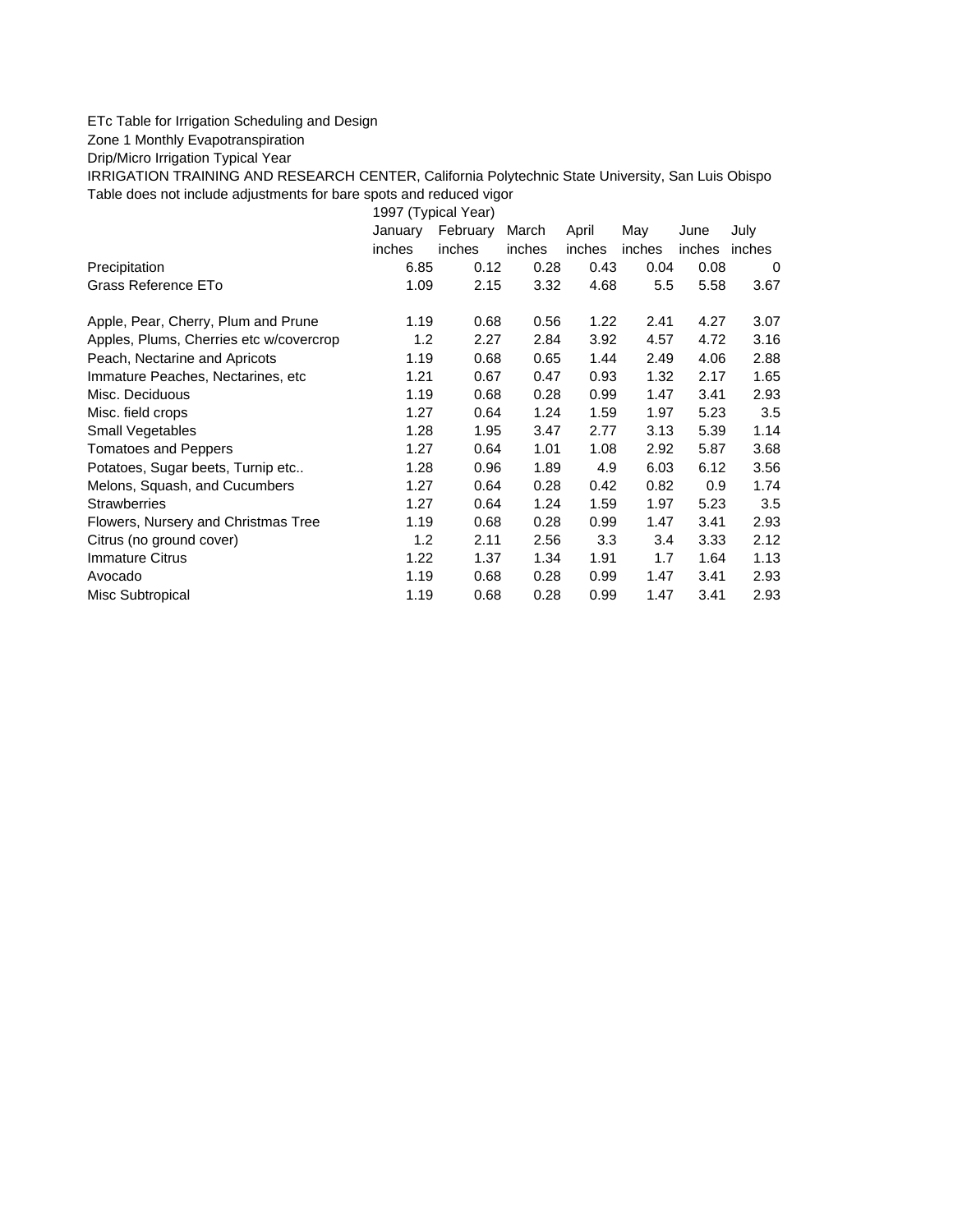## ETc Table for Irrigation Scheduling and Design

Zone 1 Monthly Evapotranspiration

Drip/Micro Irrigation Typical Year

IRRIGATION TRAINING AND RESEARCH CENTER, California Polytechnic State University, San Luis Obispo Table does not include adjustments for bare spots and reduced vigor

1997 (Typical Year) January February March April May June July inches inches inches inches inches inches inches Precipitation 6.85 0.12 0.28 0.43 0.04 0.08 0 Grass Reference ETo **1.09** 2.15 3.32 4.68 5.5 5.58 3.67 Apple, Pear, Cherry, Plum and Prune 1.19 0.68 0.56 1.22 2.41 4.27 3.07 Apples, Plums, Cherries etc w/covercrop 1.2 2.27 2.84 3.92 4.57 4.72 3.16 Peach, Nectarine and Apricots 1.19 0.68 0.65 1.44 2.49 4.06 2.88 Immature Peaches, Nectarines, etc 1.21 0.67 0.47 0.93 1.32 2.17 1.65 Misc. Deciduous 1.19 0.68 0.28 0.99 1.47 3.41 2.93 Misc. field crops 1.27 0.64 1.24 1.59 1.97 5.23 3.5 Small Vegetables 1.28 1.95 3.47 2.77 3.13 5.39 1.14 Tomatoes and Peppers 1.27 0.64 1.01 1.08 2.92 5.87 3.68 Potatoes, Sugar beets, Turnip etc..  $1.28$  0.96 1.89 4.9 6.03 6.12 3.56 Melons, Squash, and Cucumbers 1.27 0.64 0.28 0.42 0.82 0.9 1.74 Strawberries 1.27 0.64 1.24 1.59 1.97 5.23 3.5 Flowers, Nursery and Christmas Tree 1.19 0.68 0.28 0.99 1.47 3.41 2.93 Citrus (no ground cover) 1.2 2.11 2.56 3.3 3.4 3.33 2.12 Immature Citrus 1.22 1.37 1.34 1.91 1.7 1.64 1.13 Avocado 1.19 0.68 0.28 0.99 1.47 3.41 2.93 Misc Subtropical 1.19 0.68 0.28 0.99 1.47 3.41 2.93